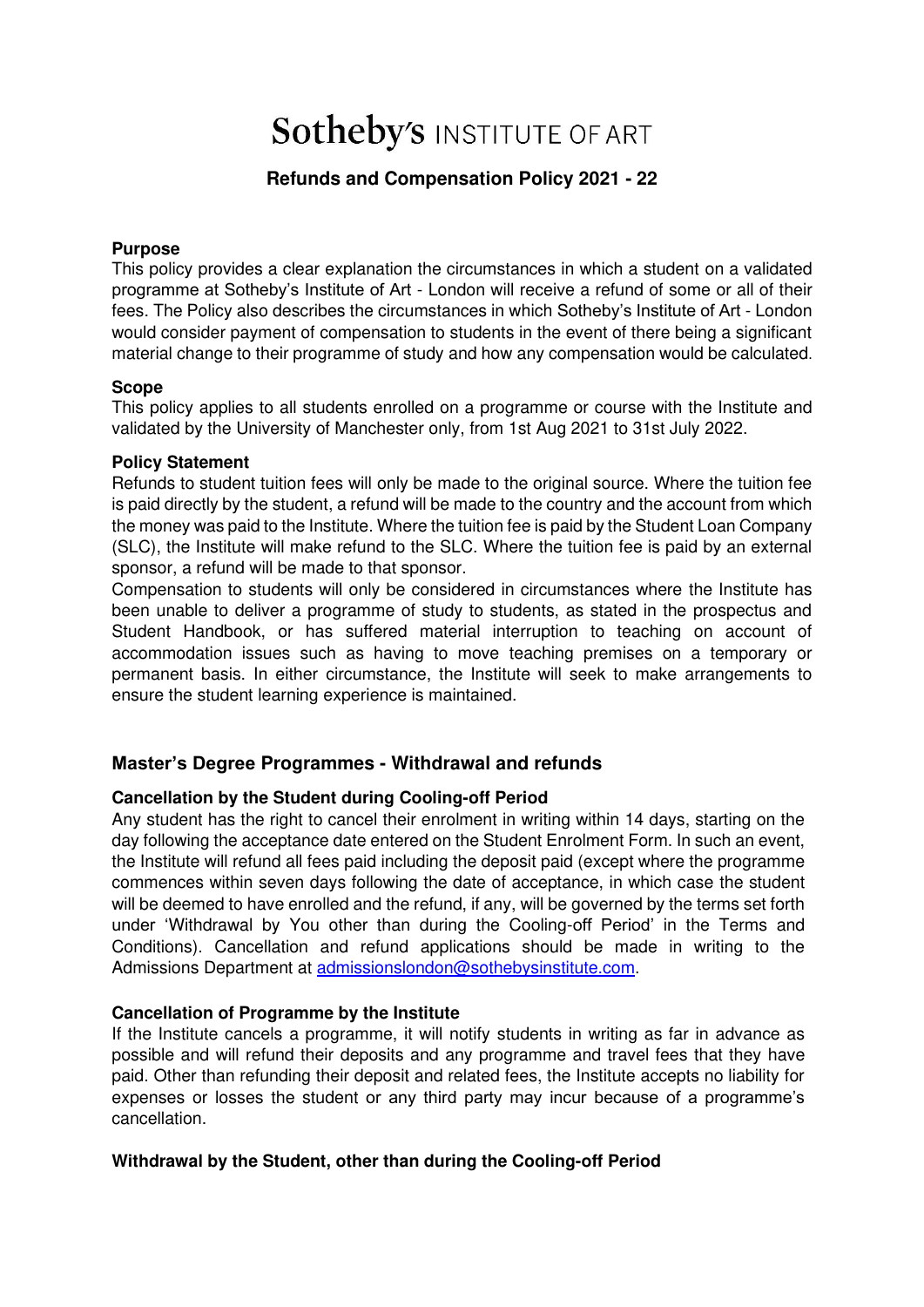# **Sotheby's INSTITUTE OF ART**

# **Refunds and Compensation Policy 2021 - 22**

#### **Purpose**

This policy provides a clear explanation the circumstances in which a student on a validated programme at Sotheby's Institute of Art - London will receive a refund of some or all of their fees. The Policy also describes the circumstances in which Sotheby's Institute of Art - London would consider payment of compensation to students in the event of there being a significant material change to their programme of study and how any compensation would be calculated.

#### **Scope**

This policy applies to all students enrolled on a programme or course with the Institute and validated by the University of Manchester only, from 1st Aug 2021 to 31st July 2022.

#### **Policy Statement**

Refunds to student tuition fees will only be made to the original source. Where the tuition fee is paid directly by the student, a refund will be made to the country and the account from which the money was paid to the Institute. Where the tuition fee is paid by the Student Loan Company (SLC), the Institute will make refund to the SLC. Where the tuition fee is paid by an external sponsor, a refund will be made to that sponsor.

Compensation to students will only be considered in circumstances where the Institute has been unable to deliver a programme of study to students, as stated in the prospectus and Student Handbook, or has suffered material interruption to teaching on account of accommodation issues such as having to move teaching premises on a temporary or permanent basis. In either circumstance, the Institute will seek to make arrangements to ensure the student learning experience is maintained.

## **Master's Degree Programmes - Withdrawal and refunds**

#### **Cancellation by the Student during Cooling-off Period**

Any student has the right to cancel their enrolment in writing within 14 days, starting on the day following the acceptance date entered on the Student Enrolment Form. In such an event, the Institute will refund all fees paid including the deposit paid (except where the programme commences within seven days following the date of acceptance, in which case the student will be deemed to have enrolled and the refund, if any, will be governed by the terms set forth under 'Withdrawal by You other than during the Cooling-off Period' in the Terms and Conditions). Cancellation and refund applications should be made in writing to the Admissions Department at [admissionslondon@sothebysinstitute.com](mailto:admissionslondon@sothebysinstitute.com).

#### **Cancellation of Programme by the Institute**

If the Institute cancels a programme, it will notify students in writing as far in advance as possible and will refund their deposits and any programme and travel fees that they have paid. Other than refunding their deposit and related fees, the Institute accepts no liability for expenses or losses the student or any third party may incur because of a programme's cancellation.

#### **Withdrawal by the Student, other than during the Cooling-off Period**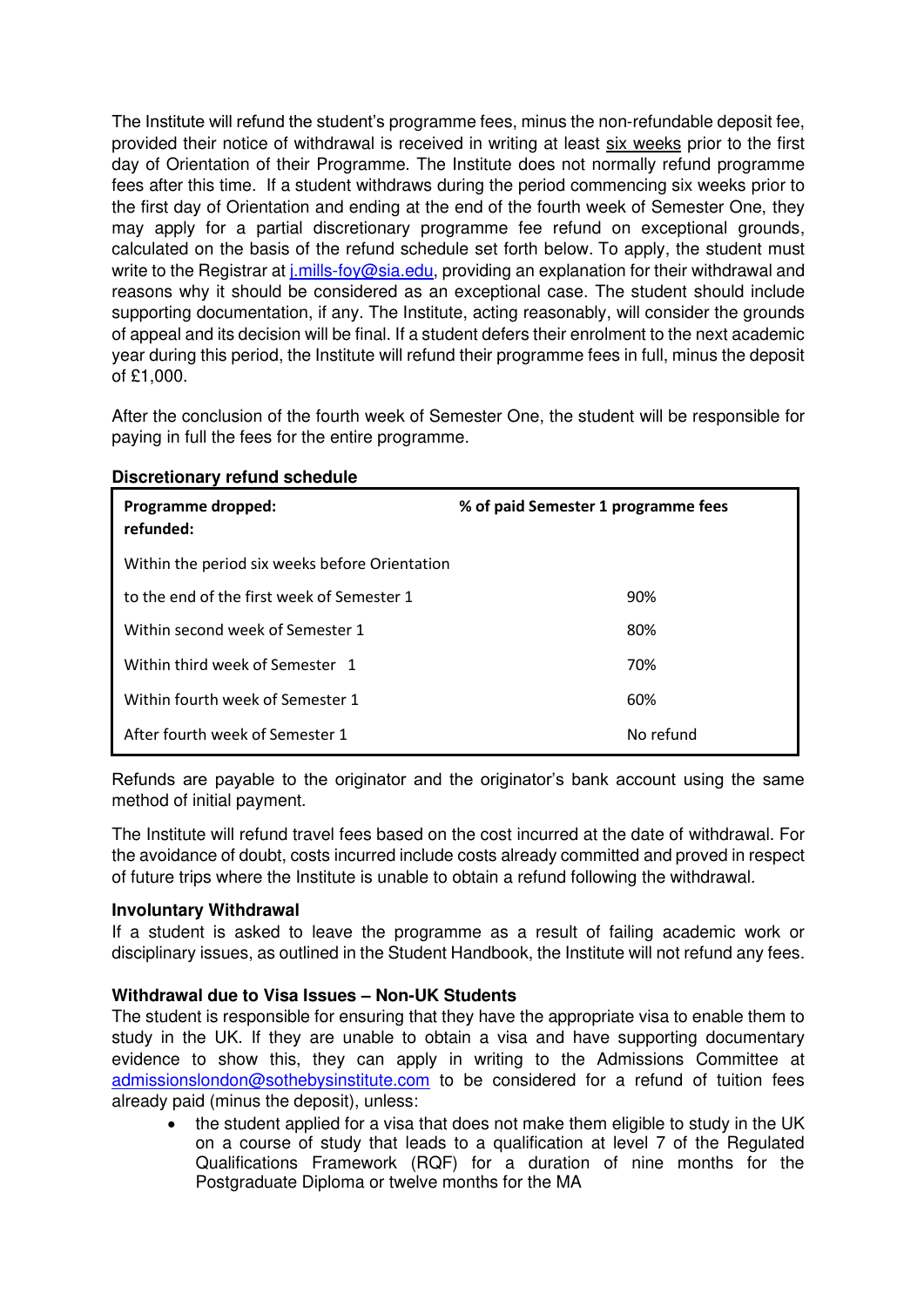The Institute will refund the student's programme fees, minus the non-refundable deposit fee, provided their notice of withdrawal is received in writing at least six weeks prior to the first day of Orientation of their Programme. The Institute does not normally refund programme fees after this time. If a student withdraws during the period commencing six weeks prior to the first day of Orientation and ending at the end of the fourth week of Semester One, they may apply for a partial discretionary programme fee refund on exceptional grounds, calculated on the basis of the refund schedule set forth below. To apply, the student must write to the Registrar at *i.mills-foy@sia.edu, providing an explanation for their withdrawal and* reasons why it should be considered as an exceptional case. The student should include supporting documentation, if any. The Institute, acting reasonably, will consider the grounds of appeal and its decision will be final. If a student defers their enrolment to the next academic year during this period, the Institute will refund their programme fees in full, minus the deposit of £1,000.

After the conclusion of the fourth week of Semester One, the student will be responsible for paying in full the fees for the entire programme.

| Programme dropped:<br>refunded:                | % of paid Semester 1 programme fees |
|------------------------------------------------|-------------------------------------|
| Within the period six weeks before Orientation |                                     |
| to the end of the first week of Semester 1     | 90%                                 |
| Within second week of Semester 1               | 80%                                 |
| Within third week of Semester 1                | 70%                                 |
| Within fourth week of Semester 1               | 60%                                 |
| After fourth week of Semester 1                | No refund                           |

#### **Discretionary refund schedule**

Refunds are payable to the originator and the originator's bank account using the same method of initial payment.

The Institute will refund travel fees based on the cost incurred at the date of withdrawal. For the avoidance of doubt, costs incurred include costs already committed and proved in respect of future trips where the Institute is unable to obtain a refund following the withdrawal.

#### **Involuntary Withdrawal**

If a student is asked to leave the programme as a result of failing academic work or disciplinary issues, as outlined in the Student Handbook, the Institute will not refund any fees.

#### **Withdrawal due to Visa Issues – Non-UK Students**

The student is responsible for ensuring that they have the appropriate visa to enable them to study in the UK. If they are unable to obtain a visa and have supporting documentary evidence to show this, they can apply in writing to the Admissions Committee at [admissionslondon@sothebysinstitute.com](mailto:admissionslondon@sothebysinstitute.com) to be considered for a refund of tuition fees already paid (minus the deposit), unless:

• the student applied for a visa that does not make them eligible to study in the UK on a course of study that leads to a qualification at level 7 of the Regulated Qualifications Framework (RQF) for a duration of nine months for the Postgraduate Diploma or twelve months for the MA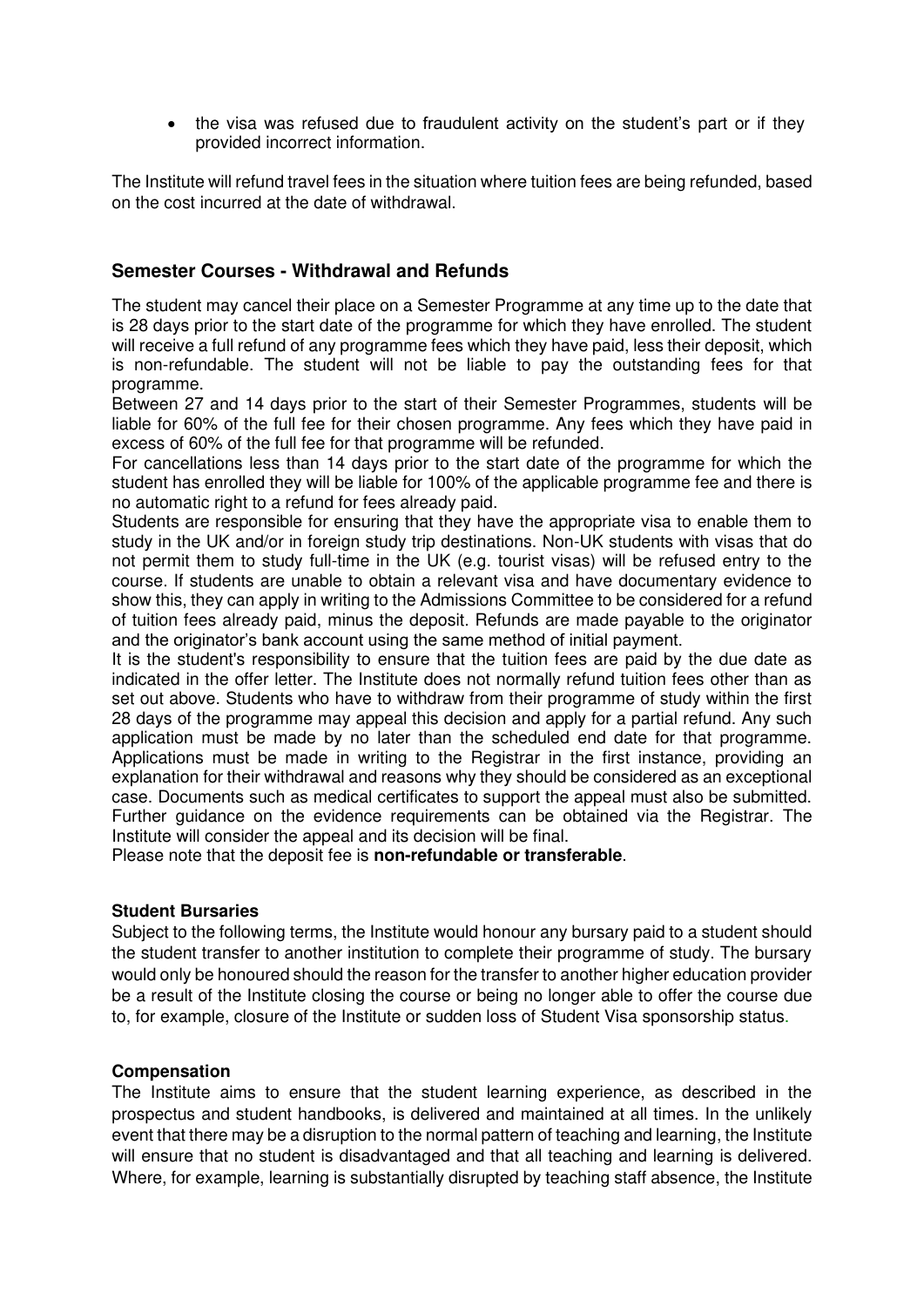• the visa was refused due to fraudulent activity on the student's part or if they provided incorrect information.

The Institute will refund travel fees in the situation where tuition fees are being refunded, based on the cost incurred at the date of withdrawal.

### **Semester Courses - Withdrawal and Refunds**

The student may cancel their place on a Semester Programme at any time up to the date that is 28 days prior to the start date of the programme for which they have enrolled. The student will receive a full refund of any programme fees which they have paid, less their deposit, which is non-refundable. The student will not be liable to pay the outstanding fees for that programme.

Between 27 and 14 days prior to the start of their Semester Programmes, students will be liable for 60% of the full fee for their chosen programme. Any fees which they have paid in excess of 60% of the full fee for that programme will be refunded.

For cancellations less than 14 days prior to the start date of the programme for which the student has enrolled they will be liable for 100% of the applicable programme fee and there is no automatic right to a refund for fees already paid.

Students are responsible for ensuring that they have the appropriate visa to enable them to study in the UK and/or in foreign study trip destinations. Non-UK students with visas that do not permit them to study full-time in the UK (e.g. tourist visas) will be refused entry to the course. If students are unable to obtain a relevant visa and have documentary evidence to show this, they can apply in writing to the Admissions Committee to be considered for a refund of tuition fees already paid, minus the deposit. Refunds are made payable to the originator and the originator's bank account using the same method of initial payment.

It is the student's responsibility to ensure that the tuition fees are paid by the due date as indicated in the offer letter. The Institute does not normally refund tuition fees other than as set out above. Students who have to withdraw from their programme of study within the first 28 days of the programme may appeal this decision and apply for a partial refund. Any such application must be made by no later than the scheduled end date for that programme. Applications must be made in writing to the Registrar in the first instance, providing an explanation for their withdrawal and reasons why they should be considered as an exceptional case. Documents such as medical certificates to support the appeal must also be submitted. Further guidance on the evidence requirements can be obtained via the Registrar. The Institute will consider the appeal and its decision will be final.

Please note that the deposit fee is **non-refundable or transferable**.

#### **Student Bursaries**

Subject to the following terms, the Institute would honour any bursary paid to a student should the student transfer to another institution to complete their programme of study. The bursary would only be honoured should the reason for the transfer to another higher education provider be a result of the Institute closing the course or being no longer able to offer the course due to, for example, closure of the Institute or sudden loss of Student Visa sponsorship status.

#### **Compensation**

The Institute aims to ensure that the student learning experience, as described in the prospectus and student handbooks, is delivered and maintained at all times. In the unlikely event that there may be a disruption to the normal pattern of teaching and learning, the Institute will ensure that no student is disadvantaged and that all teaching and learning is delivered. Where, for example, learning is substantially disrupted by teaching staff absence, the Institute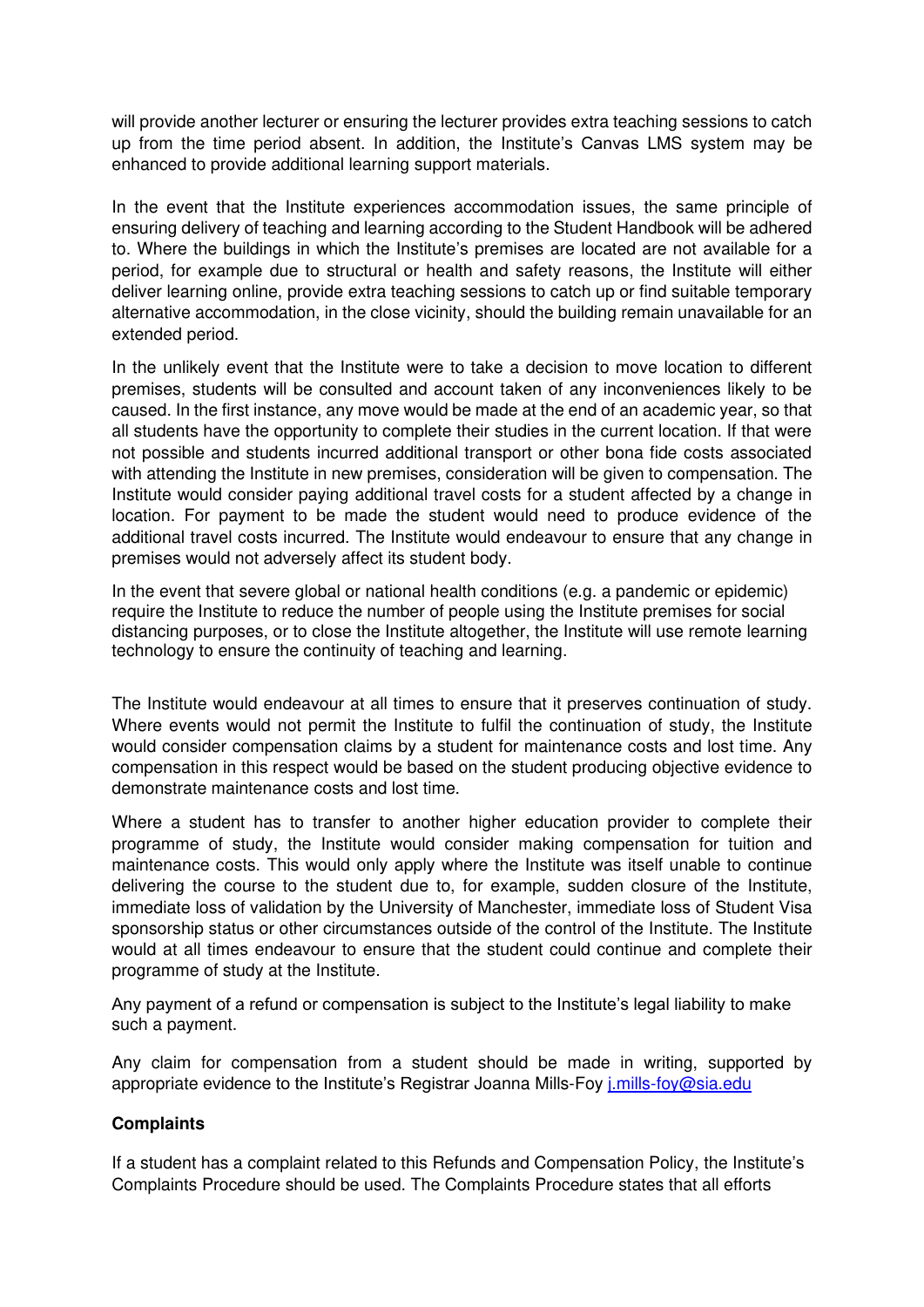will provide another lecturer or ensuring the lecturer provides extra teaching sessions to catch up from the time period absent. In addition, the Institute's Canvas LMS system may be enhanced to provide additional learning support materials.

In the event that the Institute experiences accommodation issues, the same principle of ensuring delivery of teaching and learning according to the Student Handbook will be adhered to. Where the buildings in which the Institute's premises are located are not available for a period, for example due to structural or health and safety reasons, the Institute will either deliver learning online, provide extra teaching sessions to catch up or find suitable temporary alternative accommodation, in the close vicinity, should the building remain unavailable for an extended period.

In the unlikely event that the Institute were to take a decision to move location to different premises, students will be consulted and account taken of any inconveniences likely to be caused. In the first instance, any move would be made at the end of an academic year, so that all students have the opportunity to complete their studies in the current location. If that were not possible and students incurred additional transport or other bona fide costs associated with attending the Institute in new premises, consideration will be given to compensation. The Institute would consider paying additional travel costs for a student affected by a change in location. For payment to be made the student would need to produce evidence of the additional travel costs incurred. The Institute would endeavour to ensure that any change in premises would not adversely affect its student body.

In the event that severe global or national health conditions (e.g. a pandemic or epidemic) require the Institute to reduce the number of people using the Institute premises for social distancing purposes, or to close the Institute altogether, the Institute will use remote learning technology to ensure the continuity of teaching and learning.

The Institute would endeavour at all times to ensure that it preserves continuation of study. Where events would not permit the Institute to fulfil the continuation of study, the Institute would consider compensation claims by a student for maintenance costs and lost time. Any compensation in this respect would be based on the student producing objective evidence to demonstrate maintenance costs and lost time.

Where a student has to transfer to another higher education provider to complete their programme of study, the Institute would consider making compensation for tuition and maintenance costs. This would only apply where the Institute was itself unable to continue delivering the course to the student due to, for example, sudden closure of the Institute, immediate loss of validation by the University of Manchester, immediate loss of Student Visa sponsorship status or other circumstances outside of the control of the Institute. The Institute would at all times endeavour to ensure that the student could continue and complete their programme of study at the Institute.

Any payment of a refund or compensation is subject to the Institute's legal liability to make such a payment.

Any claim for compensation from a student should be made in writing, supported by appropriate evidence to the Institute's Registrar Joanna Mills-Foy [j.mills-foy@sia.edu](mailto:j.mills-foy@sia.edu)

#### **Complaints**

If a student has a complaint related to this Refunds and Compensation Policy, the Institute's Complaints Procedure should be used. The Complaints Procedure states that all efforts